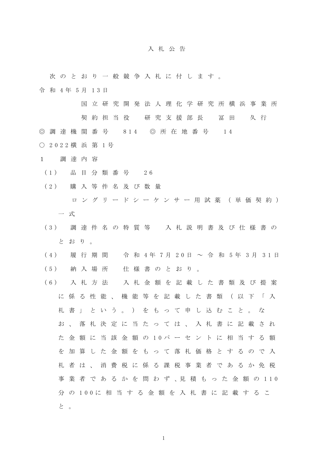## 入札公告

 次のとおり一般競争入札に付します。 令 和 4年 5月 13日

国立研究開発法人理化学研究所横浜事業所

契約担当役 研究支援部長 冨田 久行

◎ 調 達 機 関 番 号 814 ◎ 所 在 地 番 号 14

- 2022 横 浜 第 1号
- 1 調達内容
- (1) 品 目 分 類 番 号 26
- (2) 購入等件名及び数量 ロングリードシーケンサー用試薬(単価契約) 一式
- (3) 調達件名の特質等 入札説明書及び仕様書の とおり。
- (4) 履 行 期 間 令 和 4年 7月 20日 ~ 令 和 5年 3月 31日 (5) 納入場所 仕様書のとおり。
- (6) 入札方法 入札金額を記載した書類及び提案 に係る性能、機能等を記載した書類(以下「入 札書」という。)をもって申し込むこと。な お、落札決定に当たっては、入札書に記載され た 金 額 に 当 該 金 額 の 10パ ー セ ン ト に 相 当 す る 額 を加算した金額をもって落札価格とするので入 札者は、消費税に係る課税事業者であるか免税 事 業 者 で あ る か を 問 わ ず 、見 積 も っ た 金 額 の 110 分 の 100に 相 当 す る 金 額 を 入 札 書 に 記 載 す る こ と 。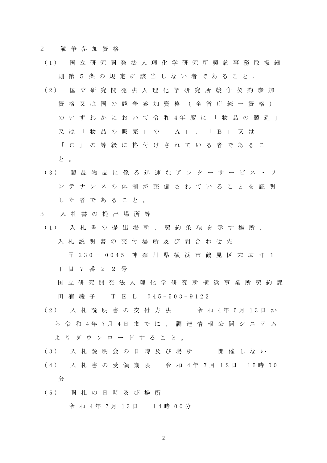2 競争参加資格

- (1) 国立研究開発法人理化学研究所契約事務取扱細 則第5条の規定に該当しない者であること。
- (2) 国立研究開発 法人理化学研究所競争契約参加 資格又は国の競争参加資格 (全省庁統一資格) の い ず れ か に お い て 令 和 4年 度 に 「 物 品 の 製 造 」 又は「物品の販売」の「A」、「B」又は 「C」の等級に格付けされている者であるこ
	- と。
- (3) 製品物品に係る迅速なアフターサービス・メ ンテナンスの体制が整備されていることを証明 した者であること。

## 3 入札書の提出場所等

- (1) 入札書の提出場所、契約条項を示す場所、 入札説明書の交付場所及び問合わせ先
	- 〒 230- 0045 神 奈 川 県 横 浜 市 鶴 見 区 末 広 町 1

丁目7番22号

- 国立研究開発法人 理化学研究所横浜事業所契約課 田 浦 綾 子 T E L 0 45-503-9122
- (2) 入 札 説 明 書 の 交 付 方 法 会 和 4年 5月 13日 か ら 令 和 4年 7月 4日 ま で に 、 調 達 情 報 公 開 シ ス テ ム よりダウンロードすること。
- (3) 入札説明会の日時及び場所 開催しない
- (4) 入 札 書 の 受 領 期 限 令 和 4年 7月 12日 15時 00 分
- (5) 開札の日時及び場所 令 和 4年 7月 13日 14時 00分

2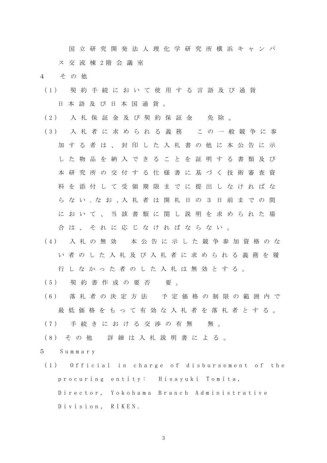国立研究開発法人理化学研究所横浜キャンパ

ス 交 流 棟 2階 会 議 室

4 その他

- (1) 契約手続において使用する言語及び通貨 日本語及び日本国通貨。
- (2) 入札保証金及び契約保証金 免除。
- (3) 入札者に求められる義務 この一般競争に参 加する者は、封印した入札書の他に本公告に示 した物品を納入できることを証明する書類及び 本研究所の交付する仕様書に基づく技術審査資 料を添付して受領期限までに提出しなければな ら な い 。な お 、入 札 者 は 開 札 日 の 3 日 前 ま で の 間 において、当該書類に関し説明を求められた場 合は、それに応じなければならない。
- (4) 入札の無効 本公告に示した競争参加資格のな い者のした入札及び入札者に求められる義務を履 行しなかった者のした入札は無効とする。
- (5) 契約書作成の要否 要。
- (6) 落札者の決定方法 予定価格の制限の範囲内で 最低価格をもって有効な入札者を落札者とする。
- (7) 手続きにおける交渉の有無 無。
- (8) その他 詳細は入札説明書による。

5 Summary

(1) Official in charge of disbursement of the procuring entity: Hisayuki Tomita, Director, Yokohama Branch Administrative Division, RIKEN.

3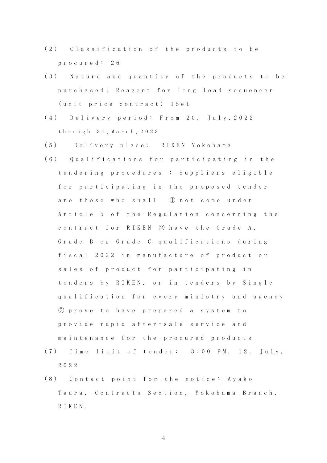- (2) Classification of the products to be procured: 26
- (3) Nature and quantity of the products to be purchased: Reagent for long lead sequencer (unit price contract) 1Set
- (4) Delivery period: From 20, July,2022 through 31,March,2023
- (5) Delivery place: RIKEN Yokohama
- (6) Qualifications for participating in the tendering procedures : Suppliers eligible for participating in the proposed tender are those who shall ① not come under Article 5 of the Regulation concerning the contract for RIKEN ② have the Grade A, Grade B or Grade C qualifications during fiscal 2022 in manufacture of product or sales of product for participating in tenders by RIKEN, or in tenders by Single qualification for every ministry and agency ③ prove to have prepared a system to provide rapid after-sale service and maintenance for the procured products
- (7) T ime limit of tender: 3:00 PM, 12, July, 2022
- (8) Contact point for the notice: Ayako Taura, Contracts Section, Yokohama Branch, RIKEN.

4